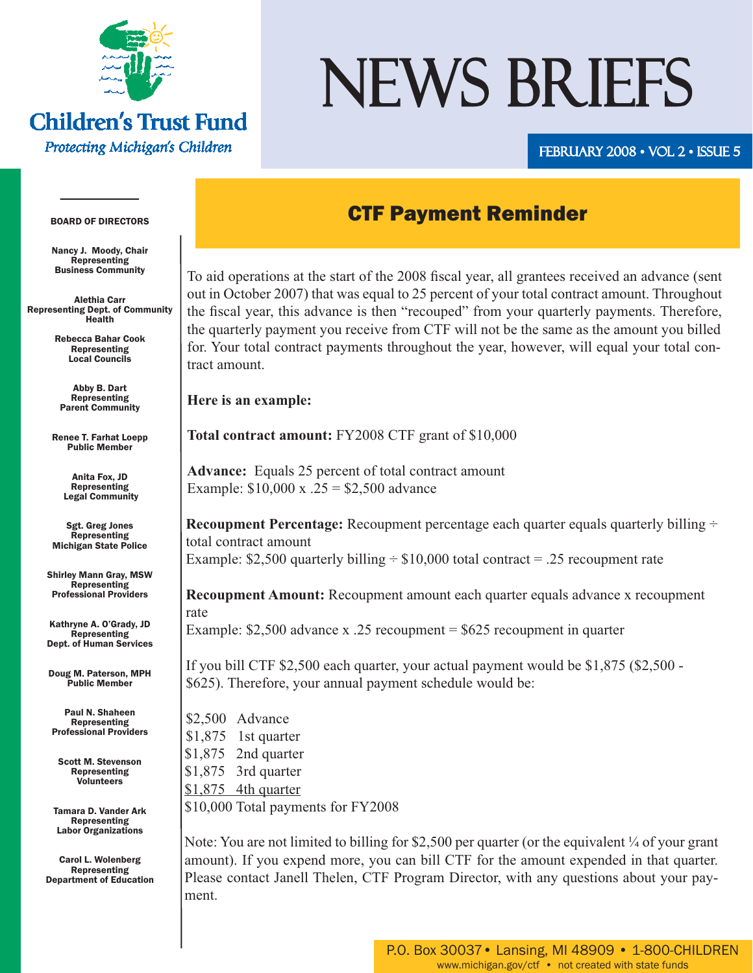

## **Children's Trust Fund**

Protecting Michigan's Children

# NEWS BRIEFS

#### FEBRUARY 2008 • VOL 2 • ISSUE 5

### CTF Payment Reminder

To aid operations at the start of the 2008 fiscal year, all grantees received an advance (sent out in October 2007) that was equal to 25 percent of your total contract amount. Throughout the fiscal year, this advance is then "recouped" from your quarterly payments. Therefore, the quarterly payment you receive from CTF will not be the same as the amount you billed for. Your total contract payments throughout the year, however, will equal your total contract amount.

**Here is an example:**

**Total contract amount:** FY2008 CTF grant of \$10,000

**Advance:** Equals 25 percent of total contract amount Example:  $$10,000 \text{ x} \cdot .25 = $2,500 \text{ advance}$ 

**Recoupment Percentage:** Recoupment percentage each quarter equals quarterly billing  $\div$ total contract amount Example: \$2,500 quarterly billing  $\div$  \$10,000 total contract = .25 recoupment rate

**Recoupment Amount:** Recoupment amount each quarter equals advance x recoupment rate Example: \$2,500 advance x .25 recoupment = \$625 recoupment in quarter

If you bill CTF \$2,500 each quarter, your actual payment would be \$1,875 (\$2,500 - \$625). Therefore, your annual payment schedule would be:

\$2,500 Advance \$1,875 1st quarter \$1,875 2nd quarter \$1,875 3rd quarter \$1,875 4th quarter \$10,000 Total payments for FY2008

Note: You are not limited to billing for \$2,500 per quarter (or the equivalent  $\frac{1}{4}$  of your grant amount). If you expend more, you can bill CTF for the amount expended in that quarter. Please contact Janell Thelen, CTF Program Director, with any questions about your payment.

#### BOARD OF DIRECTORS

Nancy J. Moody, Chair Representing Business Community

Alethia Carr Representing Dept. of Community Health

> Rebecca Bahar Cook Representing Local Councils

Abby B. Dart Representing Parent Community

Renee T. Farhat Loepp Public Member

> Anita Fox, JD Representing Legal Community

Sgt. Greg Jones Representing Michigan State Police

Shirley Mann Gray, MSW **Representing** Professional Providers

Kathryne A. O'Grady, JD Representing Dept. of Human Services

Doug M. Paterson, MPH Public Member

Paul N. Shaheen Representing Professional Providers

Scott M. Stevenson Representing Volunteers

Tamara D. Vander Ark Representing Labor Organizations

Carol L. Wolenberg Representing Department of Education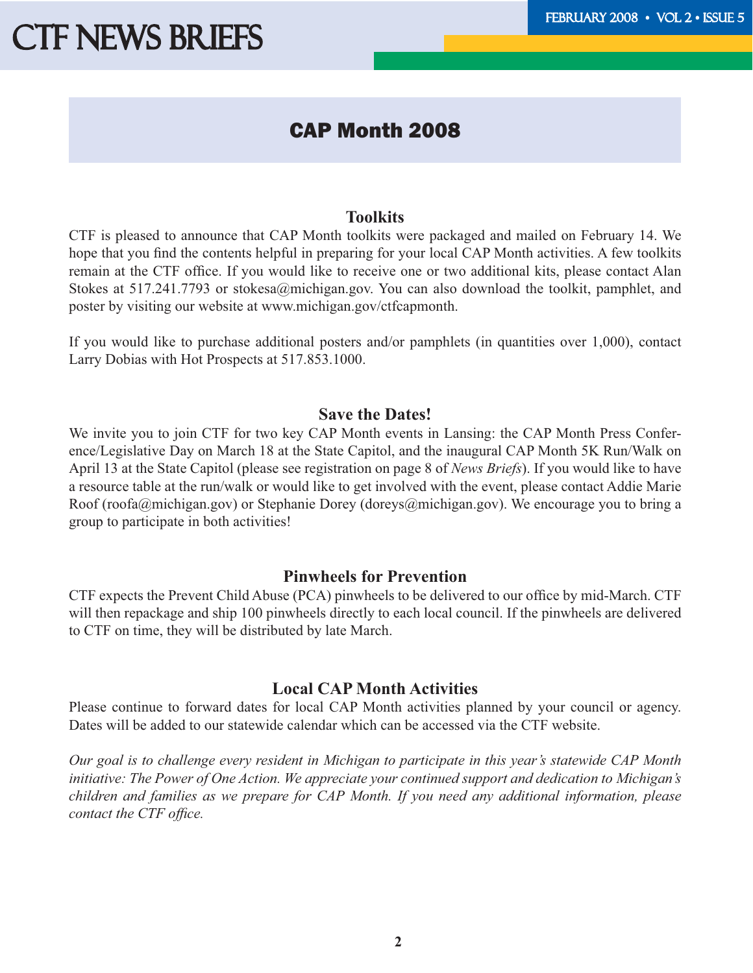### CAP Month 2008

#### **Toolkits**

CTF is pleased to announce that CAP Month toolkits were packaged and mailed on February 14. We hope that you find the contents helpful in preparing for your local CAP Month activities. A few toolkits remain at the CTF office. If you would like to receive one or two additional kits, please contact Alan Stokes at 517.241.7793 or stokesa@michigan.gov. You can also download the toolkit, pamphlet, and poster by visiting our website at www.michigan.gov/ctfcapmonth.

If you would like to purchase additional posters and/or pamphlets (in quantities over 1,000), contact Larry Dobias with Hot Prospects at 517.853.1000.

#### **Save the Dates!**

We invite you to join CTF for two key CAP Month events in Lansing: [the CAP Month Press Confer](http://www.michigan.gov/documents/ctf/Leg_Day_Save_the_Date_225480_7.pdf)[ence/Legislative Day on March 18 at the State Capitol,](http://www.michigan.gov/documents/ctf/Leg_Day_Save_the_Date_225480_7.pdf) and the inaugural CAP Month 5K Run/Walk on April 13 at the State Capitol (please see registration on page 8 of *News Briefs*). If you would like to have a resource table at the run/walk or would like to get involved with the event, please contact Addie Marie Roof (roofa@michigan.gov) or Stephanie Dorey (doreys@michigan.gov). We encourage you to bring a group to participate in both activities!

#### **Pinwheels for Prevention**

CTF expects the [Prevent Child Abuse \(PCA\)](http://www.preventchildabuse.org) pinwheels to be delivered to our office by mid-March. CTF will then repackage and ship 100 pinwheels directly to each local council. If the pinwheels are delivered to CTF on time, they will be distributed by late March.

#### **Local CAP Month Activities**

Please continue to forward dates for local CAP Month activities planned by your council or agency. Dates will be added to [our statewide calendar](http://www.michigan.gov/documents/ctf/3-CAP_Month_Calendar_08_226421_7.pdf) which can be accessed via the CTF website.

*Our goal is to challenge every resident in Michigan to participate in this year's statewide CAP Month initiative: The Power of One Action. We appreciate your continued support and dedication to Michigan's children and families as we prepare for CAP Month. If you need any additional information, please contact the CTF office.*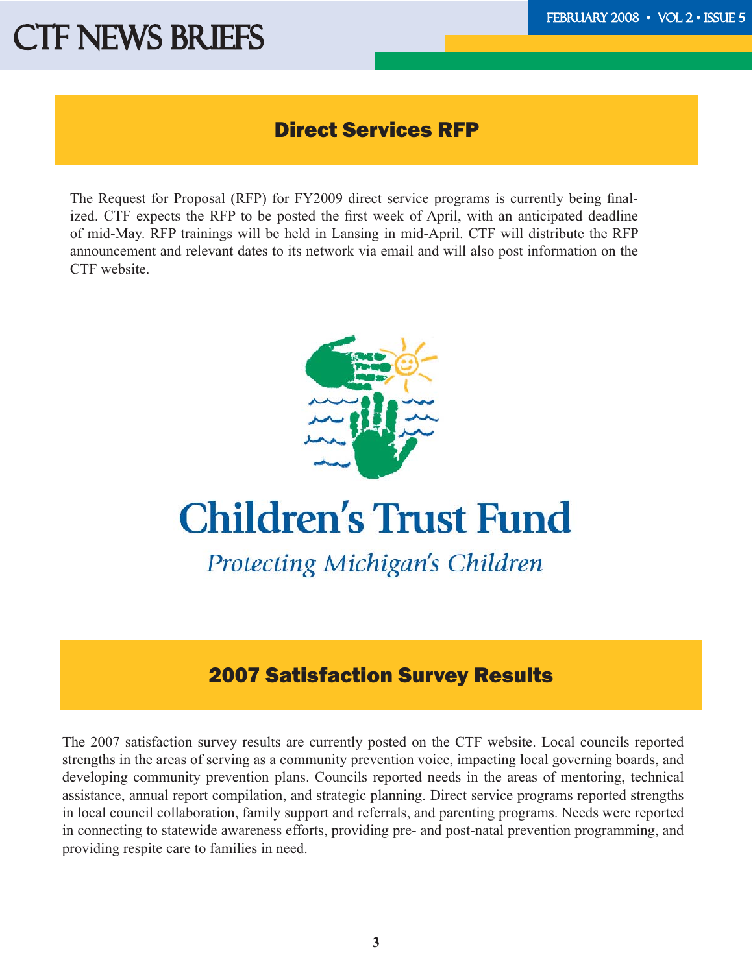### Direct Services RFP

The Request for Proposal (RFP) for FY2009 direct service programs is currently being finalized. CTF expects the RFP to be posted the first week of April, with an anticipated deadline of mid-May. RFP trainings will be held in Lansing in mid-April. CTF will distribute the RFP announcement and relevant dates to its network via email and will also post information on the CTF website.



## **Children's Trust Fund**

Protecting Michigan's Children

### 2007 Satisfaction Survey Results

The [2007 satisfaction survey results are currently posted on the CTF website.](http://www.michigan.gov/documents/ctf/2007_Survey_Results_226420_7.pdf) Local councils reported strengths in the areas of serving as a community prevention voice, impacting local governing boards, and developing community prevention plans. Councils reported needs in the areas of mentoring, technical assistance, annual report compilation, and strategic planning. Direct service programs reported strengths in local council collaboration, family support and referrals, and parenting programs. Needs were reported in connecting to statewide awareness efforts, providing pre- and post-natal prevention programming, and providing respite care to families in need.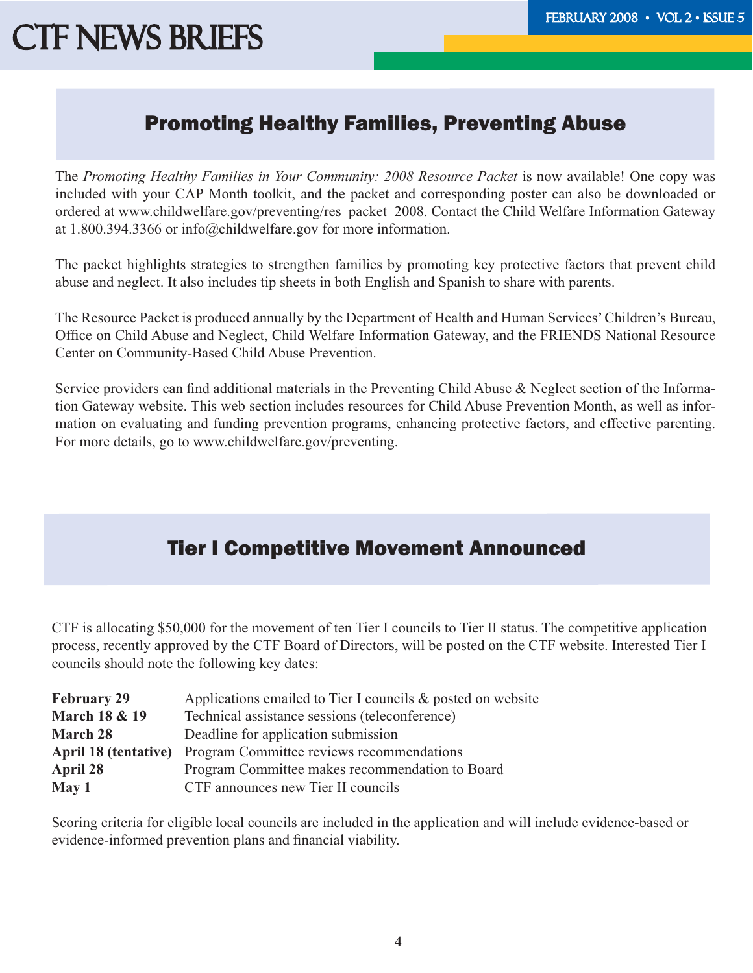### Promoting Healthy Families, Preventing Abuse

The *Promoting Healthy Families in Your Community: 2008 Resource Packet* is now available! One copy was included with your CAP Month toolkit, and the packet and corresponding poster can also be downloaded or ordered at www.childwelfare.gov/preventing/res\_packet\_2008. Contact the Child Welfare Information Gateway at 1.800.394.3366 or info@childwelfare.gov for more information.

The packet highlights strategies to strengthen families by promoting key protective factors that prevent child abuse and neglect. It also includes tip sheets in both English and Spanish to share with parents.

The Resource Packet is produced annually by the Department of Health and Human Services' Children's Bureau, Office on Child Abuse and Neglect, Child Welfare Information Gateway, and the FRIENDS National Resource Center on Community-Based Child Abuse Prevention.

Service providers can find additional materials in the Preventing Child Abuse & Neglect section of the Information Gateway website. This web section includes resources for Child Abuse Prevention Month, as well as information on evaluating and funding prevention programs, enhancing protective factors, and effective parenting. For more details, go to www.childwelfare.gov/preventing.

### Tier I Competitive Movement Announced

CTF is allocating \$50,000 for the movement of ten Tier I councils to Tier II status. The competitive application process, recently approved by the CTF Board of Directors, will be posted on the CTF website. Interested Tier I councils should note the following key dates:

| <b>February 29</b>                                          | Applications emailed to Tier I councils $\&$ posted on website |  |  |  |
|-------------------------------------------------------------|----------------------------------------------------------------|--|--|--|
| <b>March 18 &amp; 19</b>                                    | Technical assistance sessions (teleconference)                 |  |  |  |
| <b>March 28</b>                                             | Deadline for application submission                            |  |  |  |
|                                                             | April 18 (tentative) Program Committee reviews recommendations |  |  |  |
| Program Committee makes recommendation to Board<br>April 28 |                                                                |  |  |  |
| May 1                                                       | CTF announces new Tier II councils                             |  |  |  |

Scoring criteria for eligible local councils are included in the application and will include evidence-based or evidence-informed prevention plans and financial viability.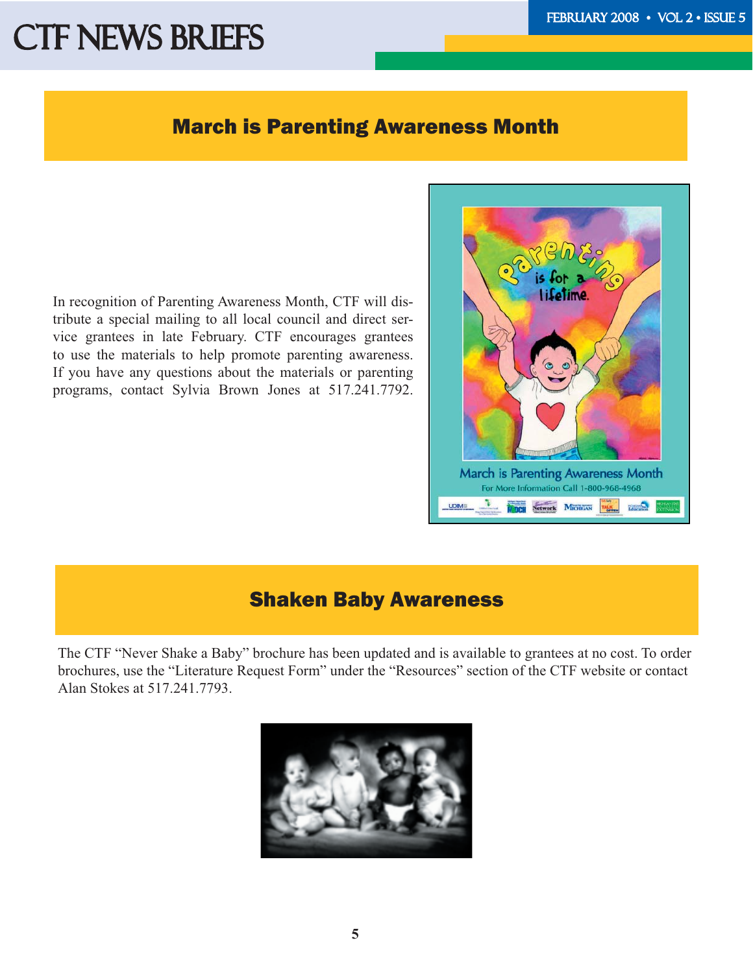#### March is Parenting Awareness Month

In recognition of Parenting Awareness Month, CTF will distribute a special mailing to all local council and direct service grantees in late February. CTF encourages grantees to use the materials to help promote parenting awareness. If you have any questions about the materials or parenting programs, contact Sylvia Brown Jones at 517.241.7792.



### Shaken Baby Awareness

The CTF "Never Shake a Baby" brochure has been updated and is available to grantees at no cost. To order brochures, use the ["Literature Request Form"](http://www.michigan.gov/ctf/0,1607,7-196--170747--,00.html) under the "Resources" section of the CTF website or contact Alan Stokes at 517.241.7793.

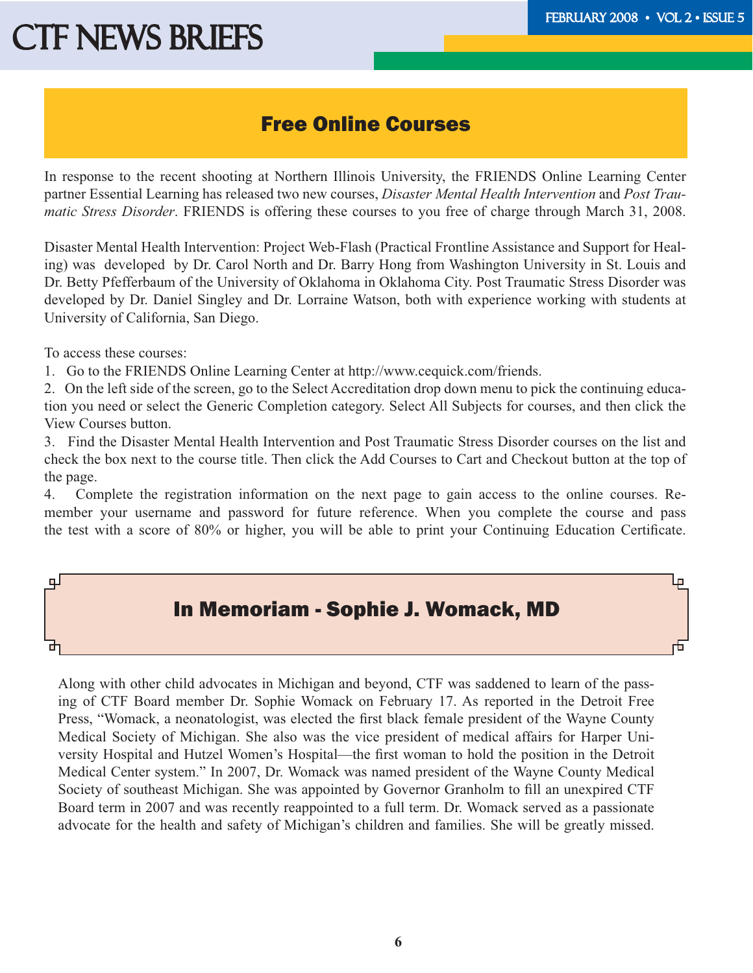Lр

## **CTF NEWS BRIEFS**

### Free Online Courses

In response to the recent shooting at Northern Illinois University, the FRIENDS Online Learning Center partner Essential Learning has released two new courses, *Disaster Mental Health Intervention* and *Post Traumatic Stress Disorder*. FRIENDS is offering these courses to you free of charge through March 31, 2008.

Disaster Mental Health Intervention: Project Web-Flash (Practical Frontline Assistance and Support for Healing) was developed by Dr. Carol North and Dr. Barry Hong from Washington University in St. Louis and Dr. Betty Pfefferbaum of the University of Oklahoma in Oklahoma City. Post Traumatic Stress Disorder was developed by Dr. Daniel Singley and Dr. Lorraine Watson, both with experience working with students at University of California, San Diego.

To access these courses:

ᆛ

1. Go to the FRIENDS Online Learning Center at http://www.cequick.com/friends.

2. On the left side of the screen, go to the Select Accreditation drop down menu to pick the continuing education you need or select the Generic Completion category. Select All Subjects for courses, and then click the View Courses button.

3. Find the Disaster Mental Health Intervention and Post Traumatic Stress Disorder courses on the list and check the box next to the course title. Then click the Add Courses to Cart and Checkout button at the top of the page.

4. Complete the registration information on the next page to gain access to the online courses. Remember your username and password for future reference. When you complete the course and pass the test with a score of 80% or higher, you will be able to print your Continuing Education Certificate.

### In Memoriam - Sophie J. Womack, MD

Along with other child advocates in Michigan and beyond, CTF was saddened to learn of the passing of CTF Board member Dr. Sophie Womack on February 17. As reported in the Detroit Free Press, "Womack, a neonatologist, was elected the first black female president of the Wayne County Medical Society of Michigan. She also was the vice president of medical affairs for Harper University Hospital and Hutzel Women's Hospital—the first woman to hold the position in the Detroit Medical Center system." In 2007, Dr. Womack was named president of the Wayne County Medical Society of southeast Michigan. She was appointed by Governor Granholm to fill an unexpired CTF Board term in 2007 and was recently reappointed to a full term. Dr. Womack served as a passionate advocate for the health and safety of Michigan's children and families. She will be greatly missed.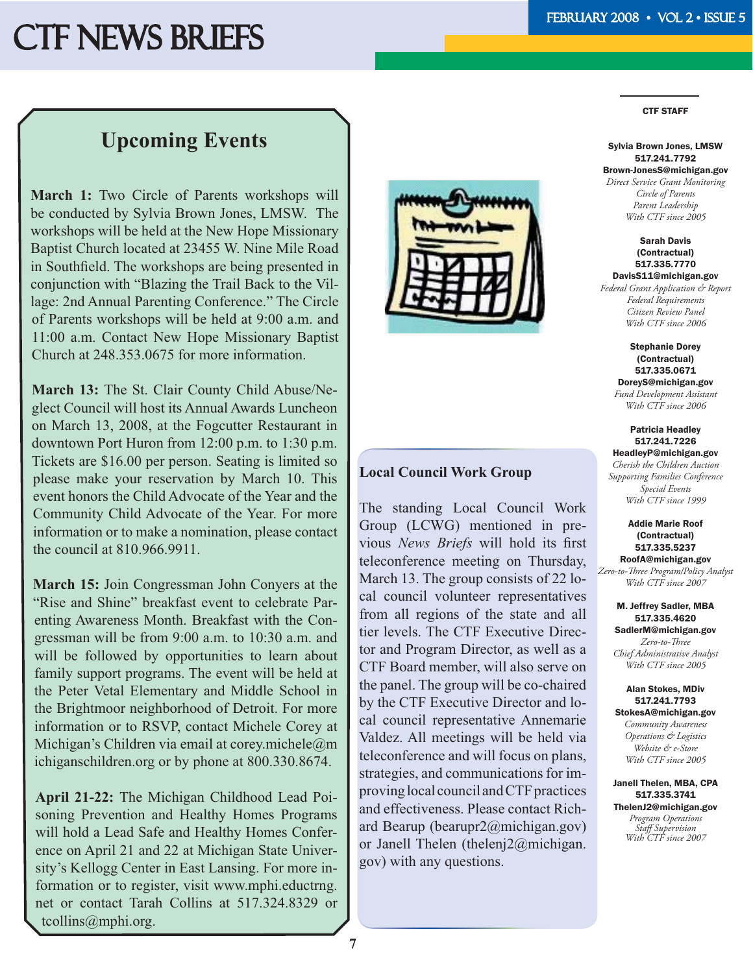#### CTF STAFF

### **Upcoming Events**

**March 1:** Two Circle of Parents workshops will be conducted by Sylvia Brown Jones, LMSW. The workshops will be held at the New Hope Missionary Baptist Church located at 23455 W. Nine Mile Road in Southfield. The workshops are being presented in conjunction with "Blazing the Trail Back to the Village: 2nd Annual Parenting Conference." The Circle of Parents workshops will be held at 9:00 a.m. and 11:00 a.m. Contact New Hope Missionary Baptist Church at 248.353.0675 for more information.

**March 13:** The St. Clair County Child Abuse/Neglect Council will host its Annual Awards Luncheon on March 13, 2008, at the Fogcutter Restaurant in downtown Port Huron from 12:00 p.m. to 1:30 p.m. Tickets are \$16.00 per person. Seating is limited so please make your reservation by March 10. This event honors the Child Advocate of the Year and the Community Child Advocate of the Year. For more information or to make a nomination, please contact the council at 810.966.9911.

**March 15:** Join Congressman John Conyers at the "Rise and Shine" breakfast event to celebrate Parenting Awareness Month. Breakfast with the Congressman will be from 9:00 a.m. to 10:30 a.m. and will be followed by opportunities to learn about family support programs. The event will be held at the Peter Vetal Elementary and Middle School in the Brightmoor neighborhood of Detroit. For more information or to RSVP, contact Michele Corey at Michigan's Children via email at corey.michele $@m$ ichiganschildren.org or by phone at 800.330.8674.

**April 21-22:** The Michigan Childhood Lead Poisoning Prevention and Healthy Homes Programs will hold a Lead Safe and Healthy Homes Conference on April 21 and 22 at Michigan State University's Kellogg Center in East Lansing. For more information or to register, visit www.mphi.eductrng. net or contact Tarah Collins at 517.324.8329 or tcollins@mphi.org.



#### **Local Council Work Group**

The standing Local Council Work Group (LCWG) mentioned in previous *News Briefs* will hold its first teleconference meeting on Thursday, March 13. The group consists of 22 local council volunteer representatives from all regions of the state and all tier levels. The CTF Executive Director and Program Director, as well as a CTF Board member, will also serve on the panel. The group will be co-chaired by the CTF Executive Director and local council representative Annemarie Valdez. All meetings will be held via teleconference and will focus on plans, strategies, and communications for improving local council and CTF practices and effectiveness. Please contact Richard Bearup (bearupr2@michigan.gov) or Janell Thelen (thelenj2@michigan. gov) with any questions.

#### Sylvia Brown Jones, LMSW 517.241.7792 Brown-JonesS@michigan.gov *Direct Service Grant Monitoring Circle of Parents*

*Parent Leadership With CTF since 2005*

#### Sarah Davis (Contractual) 517.335.7770 DavisS11@michigan.gov

*Federal Grant Application & Report Federal Requirements Citizen Review Panel With CTF since 2006*

> Stephanie Dorey (Contractual) 517.335.0671 DoreyS@michigan.gov *Fund Development Assistant With CTF since 2006*

#### Patricia Headley 517.241.7226 HeadleyP@michigan.gov *Cherish the Children Auction Supporting Families Conference Special Events With CTF since 1999*

Addie Marie Roof (Contractual) 517.335.5237 RoofA@michigan.gov *Zero-to-Th ree Program/Policy Analyst With CTF since 2007*

#### M. Jeffrey Sadler, MBA 517.335.4620 SadlerM@michigan.gov *Zero-to-Th ree Chief Administrative Analyst With CTF since 2005*

#### Alan Stokes, MDiv 517.241.7793

StokesA@michigan.gov *Community Awareness Operations & Logistics Website & e-Store With CTF since 2005*

Janell Thelen, MBA, CPA 517.335.3741 ThelenJ2@michigan.gov *Program Operations Staff Supervision With CTF since 2007*